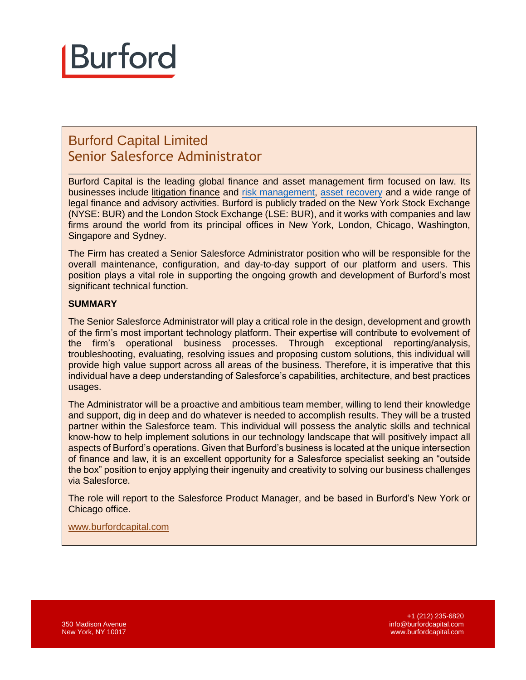# Burford

# Burford Capital Limited Senior Salesforce Administrator

Burford Capital is the leading global finance and asset management firm focused on law. Its businesses include [litigation finance](http://www.burfordcapital.com/customers/litigation-finance/) and [risk management](http://www.burfordcapital.com/customers/risk-management/), [asset recovery](http://www.burfordcapital.com/customers/asset-recovery/) and a wide range of legal finance and advisory activities. Burford is publicly traded on the New York Stock Exchange (NYSE: BUR) and the London Stock Exchange (LSE: BUR), and it works with companies and law firms around the world from its principal offices in New York, London, Chicago, Washington, Singapore and Sydney.

The Firm has created a Senior Salesforce Administrator position who will be responsible for the overall maintenance, configuration, and day-to-day support of our platform and users. This position plays a vital role in supporting the ongoing growth and development of Burford's most significant technical function.

#### **SUMMARY**

The Senior Salesforce Administrator will play a critical role in the design, development and growth of the firm's most important technology platform. Their expertise will contribute to evolvement of the firm's operational business processes. Through exceptional reporting/analysis, troubleshooting, evaluating, resolving issues and proposing custom solutions, this individual will provide high value support across all areas of the business. Therefore, it is imperative that this individual have a deep understanding of Salesforce's capabilities, architecture, and best practices usages.

The Administrator will be a proactive and ambitious team member, willing to lend their knowledge and support, dig in deep and do whatever is needed to accomplish results. They will be a trusted partner within the Salesforce team. This individual will possess the analytic skills and technical know-how to help implement solutions in our technology landscape that will positively impact all aspects of Burford's operations. Given that Burford's business is located at the unique intersection of finance and law, it is an excellent opportunity for a Salesforce specialist seeking an "outside the box" position to enjoy applying their ingenuity and creativity to solving our business challenges via Salesforce.

The role will report to the Salesforce Product Manager, and be based in Burford's New York or Chicago office.

[www.burfordcapital.com](http://www.burfordcapital.com/)

+1 (212) 235-6820 info@burfordcapital.com www.burfordcapital.com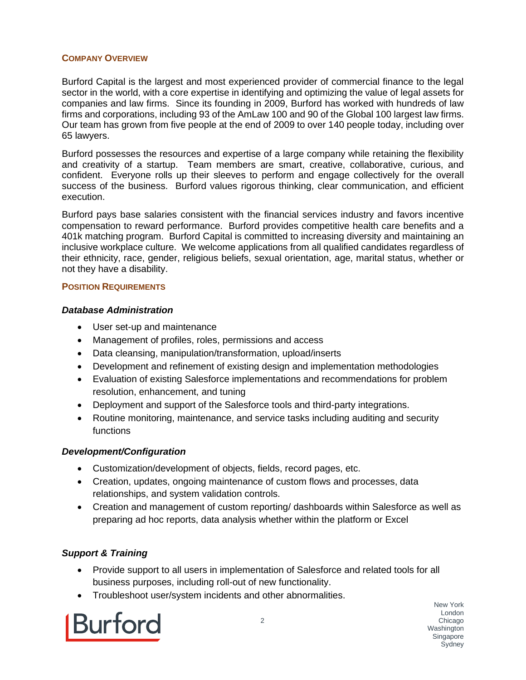#### **COMPANY OVERVIEW**

Burford Capital is the largest and most experienced provider of commercial finance to the legal sector in the world, with a core expertise in identifying and optimizing the value of legal assets for companies and law firms. Since its founding in 2009, Burford has worked with hundreds of law firms and corporations, including 93 of the AmLaw 100 and 90 of the Global 100 largest law firms. Our team has grown from five people at the end of 2009 to over 140 people today, including over 65 lawyers.

Burford possesses the resources and expertise of a large company while retaining the flexibility and creativity of a startup. Team members are smart, creative, collaborative, curious, and confident. Everyone rolls up their sleeves to perform and engage collectively for the overall success of the business. Burford values rigorous thinking, clear communication, and efficient execution.

Burford pays base salaries consistent with the financial services industry and favors incentive compensation to reward performance. Burford provides competitive health care benefits and a 401k matching program. Burford Capital is committed to increasing diversity and maintaining an inclusive workplace culture. We welcome applications from all qualified candidates regardless of their ethnicity, race, gender, religious beliefs, sexual orientation, age, marital status, whether or not they have a disability.

#### **POSITION REQUIREMENTS**

#### *Database Administration*

- User set-up and maintenance
- Management of profiles, roles, permissions and access
- Data cleansing, manipulation/transformation, upload/inserts
- Development and refinement of existing design and implementation methodologies
- Evaluation of existing Salesforce implementations and recommendations for problem resolution, enhancement, and tuning
- Deployment and support of the Salesforce tools and third-party integrations.
- Routine monitoring, maintenance, and service tasks including auditing and security functions

#### *Development/Configuration*

- Customization/development of objects, fields, record pages, etc.
- Creation, updates, ongoing maintenance of custom flows and processes, data relationships, and system validation controls.
- Creation and management of custom reporting/ dashboards within Salesforce as well as preparing ad hoc reports, data analysis whether within the platform or Excel

### *Support & Training*

- Provide support to all users in implementation of Salesforce and related tools for all business purposes, including roll-out of new functionality.
- Troubleshoot user/system incidents and other abnormalities.